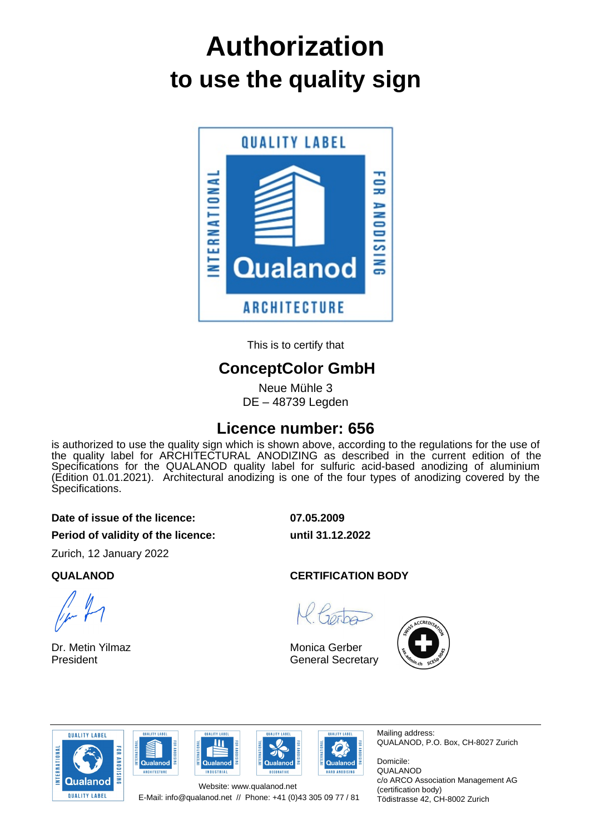# **to use the quality sign Authorization**



This is to certify that

# **ConceptColor GmbH**

Neue Mühle 3 DE – 48739 Legden

## **Licence number: 656**

is authorized to use the quality sign which is shown above, according to the regulations for the use of the quality label for ARCHITECTURAL ANODIZING as described in the current edition of the Specifications for the QUALANOD quality label for sulfuric acid-based anodizing of aluminium (Edition 01.01.2021). Architectural anodizing is one of the four types of anodizing covered by the Specifications.

#### **Date of issue of the licence: 07.05.2009**

**Period of validity of the licence: until 31.12.2022**

Zurich, 12 January 2022

Dr. Metin Yilmaz President

### **QUALANOD CERTIFICATION BODY**

Monica Gerber General Secretary











Mailing address: QUALANOD, P.O. Box, CH-8027 Zurich

Domicile: QUALANOD c/o ARCO Association Management AG (certification body) Tödistrasse 42, CH-8002 Zurich

E-Mail: info@qualanod.net // Phone: +41 (0)43 305 09 77 / 81 Website: www.qualanod.net

**OUALITY LARE** 

 $\overline{\mathbf{u}}$ 

Qualanod

**NDUSTRIAL**